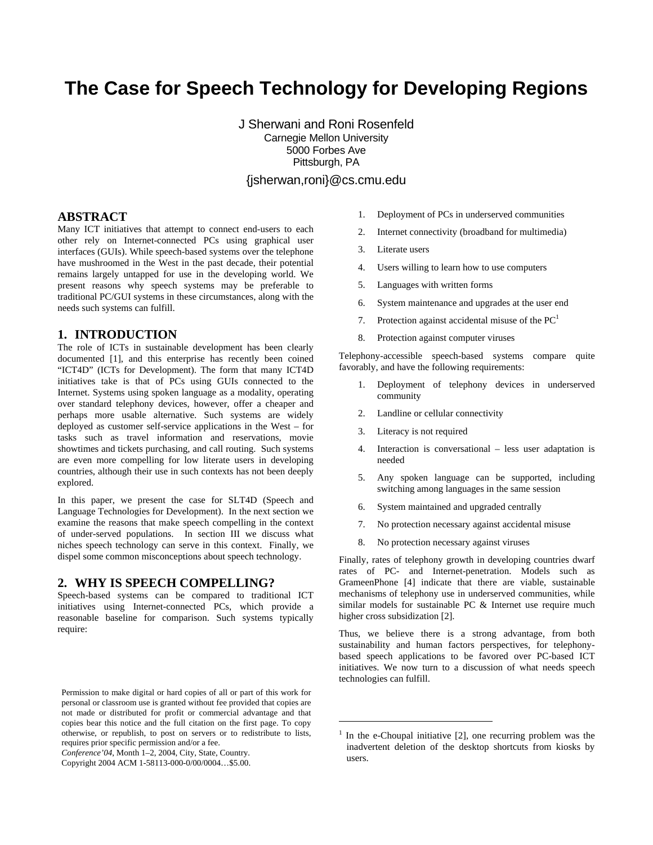# **The Case for Speech Technology for Developing Regions**

J Sherwani and Roni Rosenfeld Carnegie Mellon University 5000 Forbes Ave Pittsburgh, PA {jsherwan,roni}@cs.cmu.edu

 $\overline{a}$ 

#### **ABSTRACT**

Many ICT initiatives that attempt to connect end-users to each other rely on Internet-connected PCs using graphical user interfaces (GUIs). While speech-based systems over the telephone have mushroomed in the West in the past decade, their potential remains largely untapped for use in the developing world. We present reasons why speech systems may be preferable to traditional PC/GUI systems in these circumstances, along with the needs such systems can fulfill.

#### **1. INTRODUCTION**

The role of ICTs in sustainable development has been clearly documented [1], and this enterprise has recently been coined "ICT4D" (ICTs for Development). The form that many ICT4D initiatives take is that of PCs using GUIs connected to the Internet. Systems using spoken language as a modality, operating over standard telephony devices, however, offer a cheaper and perhaps more usable alternative. Such systems are widely deployed as customer self-service applications in the West – for tasks such as travel information and reservations, movie showtimes and tickets purchasing, and call routing. Such systems are even more compelling for low literate users in developing countries, although their use in such contexts has not been deeply explored.

In this paper, we present the case for SLT4D (Speech and Language Technologies for Development). In the next section we examine the reasons that make speech compelling in the context of under-served populations. In section III we discuss what niches speech technology can serve in this context. Finally, we dispel some common misconceptions about speech technology.

#### **2. WHY IS SPEECH COMPELLING?**

Speech-based systems can be compared to traditional ICT initiatives using Internet-connected PCs, which provide a reasonable baseline for comparison. Such systems typically require:

*Conference'04*, Month 1–2, 2004, City, State, Country.

- 1. Deployment of PCs in underserved communities
- 2. Internet connectivity (broadband for multimedia)
- 3. Literate users
- 4. Users willing to learn how to use computers
- 5. Languages with written forms
- 6. System maintenance and upgrades at the user end
- 7. Protection against accidental misuse of the  $PC<sup>1</sup>$
- 8. Protection against computer viruses

Telephony-accessible speech-based systems compare quite favorably, and have the following requirements:

- 1. Deployment of telephony devices in underserved community
- 2. Landline or cellular connectivity
- 3. Literacy is not required
- 4. Interaction is conversational less user adaptation is needed
- 5. Any spoken language can be supported, including switching among languages in the same session
- 6. System maintained and upgraded centrally
- 7. No protection necessary against accidental misuse
- 8. No protection necessary against viruses

Finally, rates of telephony growth in developing countries dwarf rates of PC- and Internet-penetration. Models such as GrameenPhone [4] indicate that there are viable, sustainable mechanisms of telephony use in underserved communities, while similar models for sustainable PC & Internet use require much higher cross subsidization [2].

Thus, we believe there is a strong advantage, from both sustainability and human factors perspectives, for telephonybased speech applications to be favored over PC-based ICT initiatives. We now turn to a discussion of what needs speech technologies can fulfill.

Permission to make digital or hard copies of all or part of this work for personal or classroom use is granted without fee provided that copies are not made or distributed for profit or commercial advantage and that copies bear this notice and the full citation on the first page. To copy otherwise, or republish, to post on servers or to redistribute to lists, requires prior specific permission and/or a fee.

Copyright 2004 ACM 1-58113-000-0/00/0004…\$5.00.

<sup>1</sup> In the e-Choupal initiative [2], one recurring problem was the inadvertent deletion of the desktop shortcuts from kiosks by users.